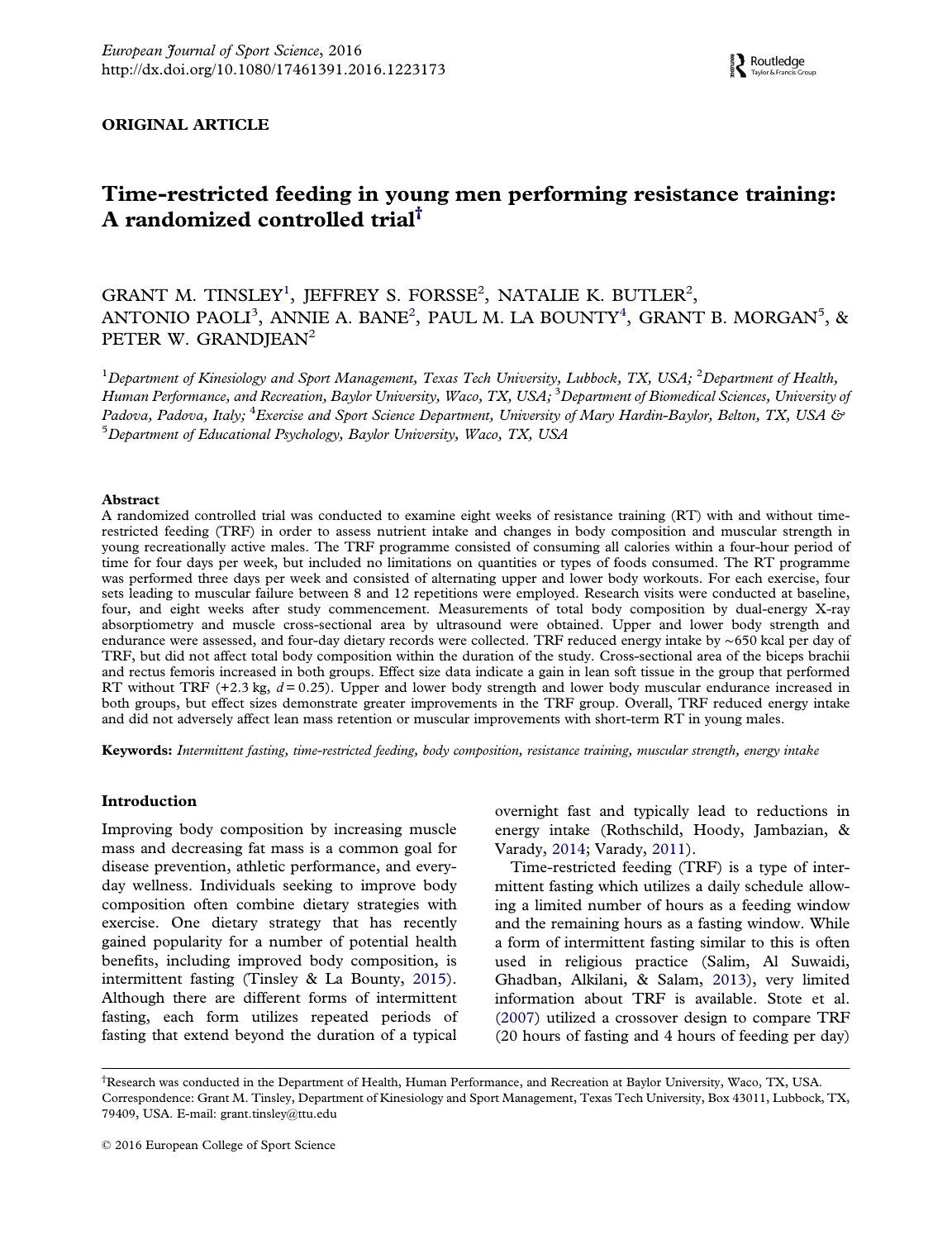## <span id="page-0-0"></span>ORIGINAL ARTICLE

# Time-restricted feeding in young men performing resistance training: A randomized controlled trial $^{\dagger}$

## GRANT M. TINSLEY<sup>1</sup>, JEFFREY S. FORSSE<sup>2</sup>, NATALIE K. BUTLER<sup>2</sup>, ANTONIO PAOLI $^3$ , ANNIE A. BANE $^2$ , PAUL M. LA BOUNTY $^4$ , GRANT B. MORGAN $^5$ , & PETER W. GRANDIEAN<sup>2</sup>

 $^1$ Department of Kinesiology and Sport Management, Texas Tech University, Lubbock, TX, USA;  $^2$ Department of Health, Human Performance, and Recreation, Baylor University, Waco, TX, USA;  $^3$ Department of Biomedical Sciences, University of Padova, Padova, Italy; <sup>4</sup>Exercise and Sport Science Department, University of Mary Hardin-Baylor, Belton, TX, USA & 5 Department of Educational Psychology, Baylor University, Waco, TX, USA

#### Abstract

A randomized controlled trial was conducted to examine eight weeks of resistance training (RT) with and without timerestricted feeding (TRF) in order to assess nutrient intake and changes in body composition and muscular strength in young recreationally active males. The TRF programme consisted of consuming all calories within a four-hour period of time for four days per week, but included no limitations on quantities or types of foods consumed. The RT programme was performed three days per week and consisted of alternating upper and lower body workouts. For each exercise, four sets leading to muscular failure between 8 and 12 repetitions were employed. Research visits were conducted at baseline, four, and eight weeks after study commencement. Measurements of total body composition by dual-energy X-ray absorptiometry and muscle cross-sectional area by ultrasound were obtained. Upper and lower body strength and endurance were assessed, and four-day dietary records were collected. TRF reduced energy intake by ∼650 kcal per day of TRF, but did not affect total body composition within the duration of the study. Cross-sectional area of the biceps brachii and rectus femoris increased in both groups. Effect size data indicate a gain in lean soft tissue in the group that performed RT without TRF  $(+2.3 \text{ kg}, d = 0.25)$ . Upper and lower body strength and lower body muscular endurance increased in both groups, but effect sizes demonstrate greater improvements in the TRF group. Overall, TRF reduced energy intake and did not adversely affect lean mass retention or muscular improvements with short-term RT in young males.

Keywords: Intermittent fasting, time-restricted feeding, body composition, resistance training, muscular strength, energy intake

## Introduction

Improving body composition by increasing muscle mass and decreasing fat mass is a common goal for disease prevention, athletic performance, and everyday wellness. Individuals seeking to improve body composition often combine dietary strategies with exercise. One dietary strategy that has recently gained popularity for a number of potential health benefits, including improved body composition, is intermittent fasting (Tinsley & La Bounty, [2015\)](#page-7-0). Although there are different forms of intermittent fasting, each form utilizes repeated periods of fasting that extend beyond the duration of a typical overnight fast and typically lead to reductions in energy intake (Rothschild, Hoody, Jambazian, & Varady, [2014](#page-7-0); Varady, [2011](#page-7-0)).

Time-restricted feeding (TRF) is a type of intermittent fasting which utilizes a daily schedule allowing a limited number of hours as a feeding window and the remaining hours as a fasting window. While a form of intermittent fasting similar to this is often used in religious practice (Salim, Al Suwaidi, Ghadban, Alkilani, & Salam, [2013\)](#page-7-0), very limited information about TRF is available. Stote et al. ([2007](#page-7-0)) utilized a crossover design to compare TRF (20 hours of fasting and 4 hours of feeding per day)

<sup>†</sup> Research was conducted in the Department of Health, Human Performance, and Recreation at Baylor University, Waco, TX, USA. Correspondence: Grant M. Tinsley, Department of Kinesiology and Sport Management, Texas Tech University, Box 43011, Lubbock, TX, 79409, USA. E-mail: [grant.tinsley@ttu.edu](mailto:grant.tinsley@ttu.edu)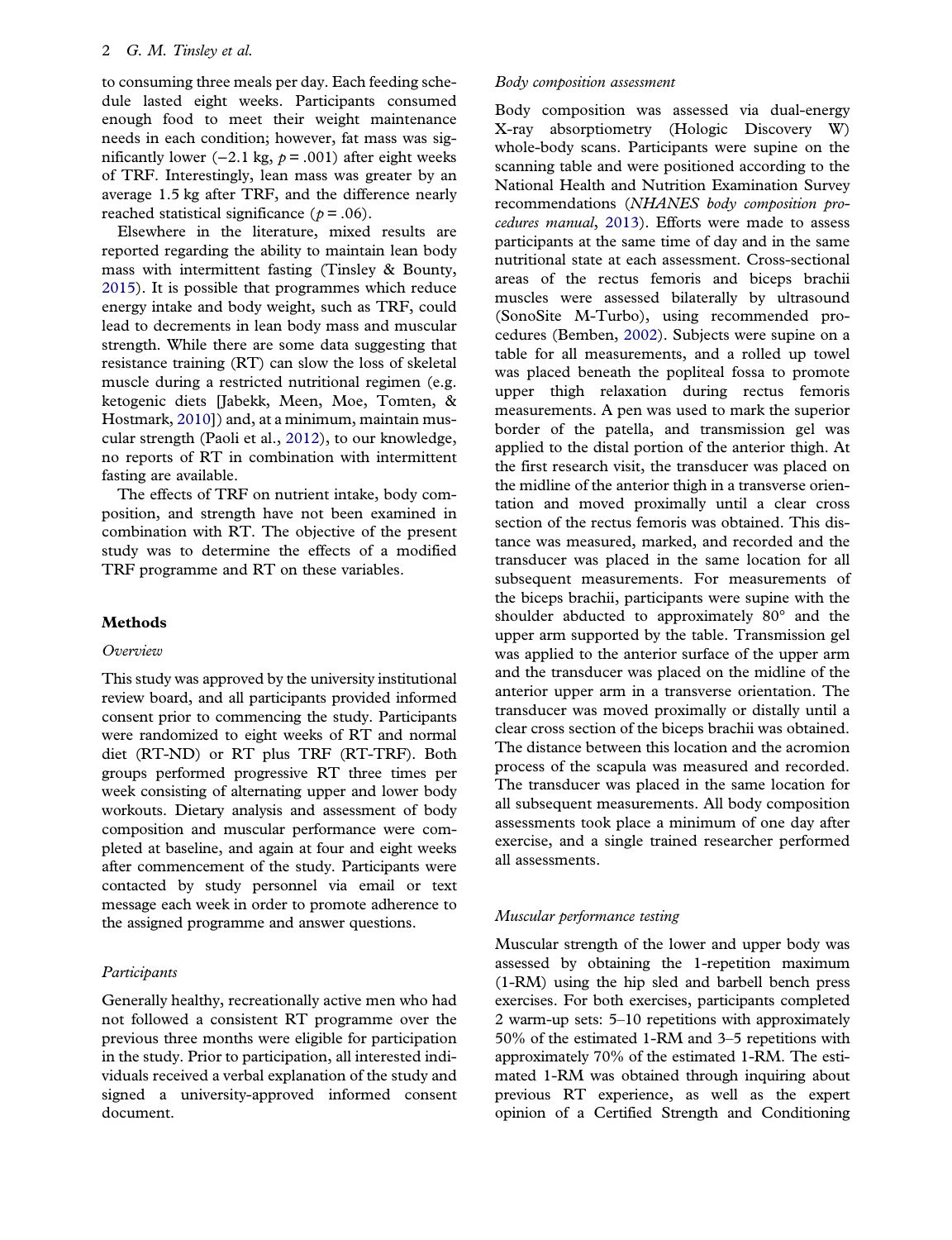<span id="page-1-0"></span>to consuming three meals per day. Each feeding schedule lasted eight weeks. Participants consumed enough food to meet their weight maintenance needs in each condition; however, fat mass was significantly lower (−2.1 kg,  $p = .001$ ) after eight weeks of TRF. Interestingly, lean mass was greater by an average 1.5 kg after TRF, and the difference nearly reached statistical significance ( $p = .06$ ).

Elsewhere in the literature, mixed results are reported regarding the ability to maintain lean body mass with intermittent fasting (Tinsley & Bounty, [2015\)](#page-7-0). It is possible that programmes which reduce energy intake and body weight, such as TRF, could lead to decrements in lean body mass and muscular strength. While there are some data suggesting that resistance training (RT) can slow the loss of skeletal muscle during a restricted nutritional regimen (e.g. ketogenic diets [Jabekk, Meen, Moe, Tomten, & Hostmark, [2010](#page-7-0)]) and, at a minimum, maintain muscular strength (Paoli et al., [2012\)](#page-7-0), to our knowledge, no reports of RT in combination with intermittent fasting are available.

The effects of TRF on nutrient intake, body composition, and strength have not been examined in combination with RT. The objective of the present study was to determine the effects of a modified TRF programme and RT on these variables.

## Methods

## Overview

This study was approved by the university institutional review board, and all participants provided informed consent prior to commencing the study. Participants were randomized to eight weeks of RT and normal diet (RT-ND) or RT plus TRF (RT-TRF). Both groups performed progressive RT three times per week consisting of alternating upper and lower body workouts. Dietary analysis and assessment of body composition and muscular performance were completed at baseline, and again at four and eight weeks after commencement of the study. Participants were contacted by study personnel via email or text message each week in order to promote adherence to the assigned programme and answer questions.

## Participants

Generally healthy, recreationally active men who had not followed a consistent RT programme over the previous three months were eligible for participation in the study. Prior to participation, all interested individuals received a verbal explanation of the study and signed a university-approved informed consent document.

#### Body composition assessment

Body composition was assessed via dual-energy X-ray absorptiometry (Hologic Discovery W) whole-body scans. Participants were supine on the scanning table and were positioned according to the National Health and Nutrition Examination Survey recommendations (NHANES body composition procedures manual, [2013](#page-7-0)). Efforts were made to assess participants at the same time of day and in the same nutritional state at each assessment. Cross-sectional areas of the rectus femoris and biceps brachii muscles were assessed bilaterally by ultrasound (SonoSite M-Turbo), using recommended procedures (Bemben, [2002](#page-7-0)). Subjects were supine on a table for all measurements, and a rolled up towel was placed beneath the popliteal fossa to promote upper thigh relaxation during rectus femoris measurements. A pen was used to mark the superior border of the patella, and transmission gel was applied to the distal portion of the anterior thigh. At the first research visit, the transducer was placed on the midline of the anterior thigh in a transverse orientation and moved proximally until a clear cross section of the rectus femoris was obtained. This distance was measured, marked, and recorded and the transducer was placed in the same location for all subsequent measurements. For measurements of the biceps brachii, participants were supine with the shoulder abducted to approximately 80° and the upper arm supported by the table. Transmission gel was applied to the anterior surface of the upper arm and the transducer was placed on the midline of the anterior upper arm in a transverse orientation. The transducer was moved proximally or distally until a clear cross section of the biceps brachii was obtained. The distance between this location and the acromion process of the scapula was measured and recorded. The transducer was placed in the same location for all subsequent measurements. All body composition assessments took place a minimum of one day after exercise, and a single trained researcher performed all assessments.

#### Muscular performance testing

Muscular strength of the lower and upper body was assessed by obtaining the 1-repetition maximum (1-RM) using the hip sled and barbell bench press exercises. For both exercises, participants completed 2 warm-up sets: 5–10 repetitions with approximately 50% of the estimated 1-RM and 3–5 repetitions with approximately 70% of the estimated 1-RM. The estimated 1-RM was obtained through inquiring about previous RT experience, as well as the expert opinion of a Certified Strength and Conditioning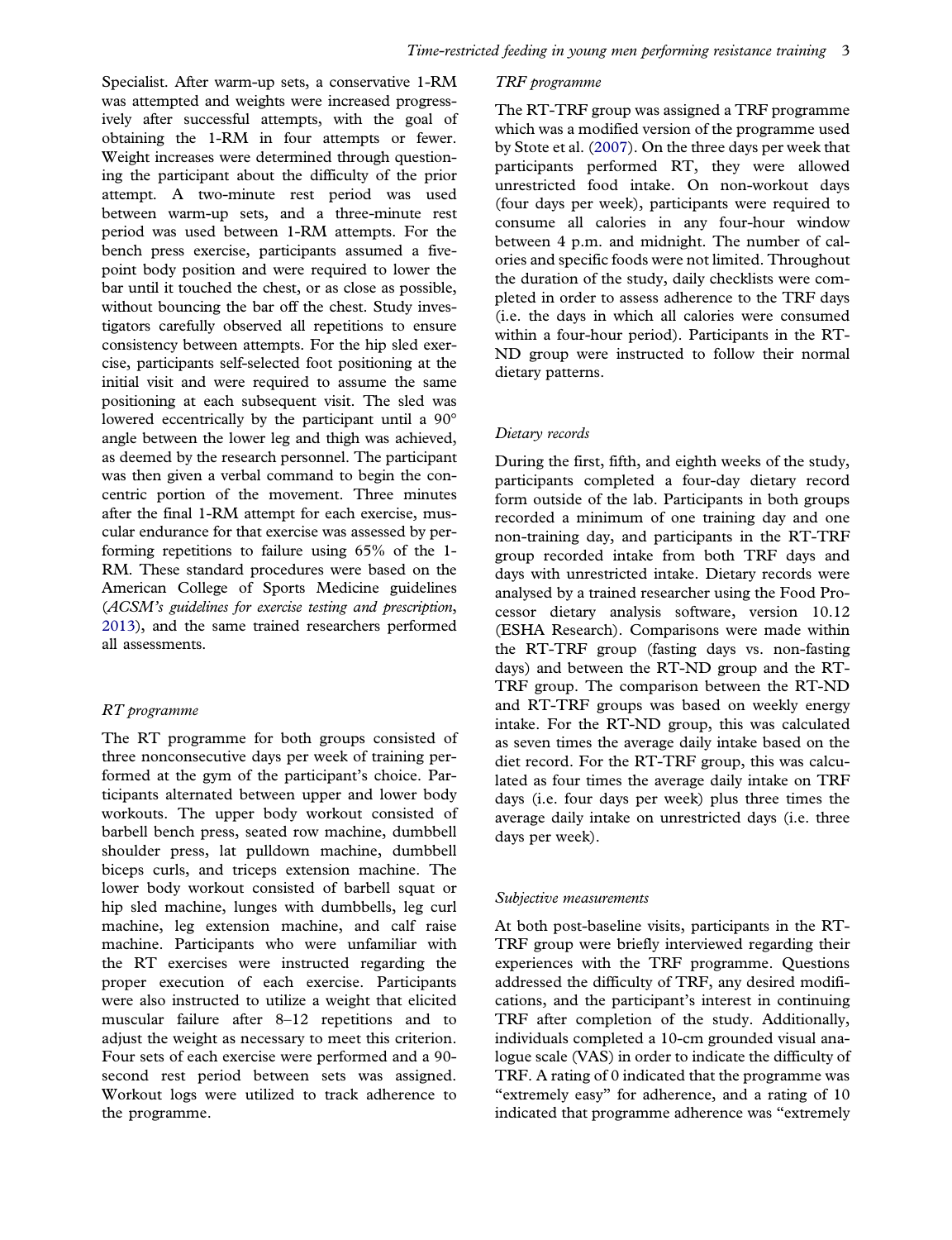<span id="page-2-0"></span>Specialist. After warm-up sets, a conservative 1-RM was attempted and weights were increased progressively after successful attempts, with the goal of obtaining the 1-RM in four attempts or fewer. Weight increases were determined through questioning the participant about the difficulty of the prior attempt. A two-minute rest period was used between warm-up sets, and a three-minute rest period was used between 1-RM attempts. For the bench press exercise, participants assumed a fivepoint body position and were required to lower the bar until it touched the chest, or as close as possible, without bouncing the bar off the chest. Study investigators carefully observed all repetitions to ensure consistency between attempts. For the hip sled exercise, participants self-selected foot positioning at the initial visit and were required to assume the same positioning at each subsequent visit. The sled was lowered eccentrically by the participant until a 90° angle between the lower leg and thigh was achieved, as deemed by the research personnel. The participant was then given a verbal command to begin the concentric portion of the movement. Three minutes after the final 1-RM attempt for each exercise, muscular endurance for that exercise was assessed by performing repetitions to failure using 65% of the 1- RM. These standard procedures were based on the American College of Sports Medicine guidelines (ACSM's guidelines for exercise testing and prescription, [2013\)](#page-7-0), and the same trained researchers performed all assessments.

## RT programme

The RT programme for both groups consisted of three nonconsecutive days per week of training performed at the gym of the participant's choice. Participants alternated between upper and lower body workouts. The upper body workout consisted of barbell bench press, seated row machine, dumbbell shoulder press, lat pulldown machine, dumbbell biceps curls, and triceps extension machine. The lower body workout consisted of barbell squat or hip sled machine, lunges with dumbbells, leg curl machine, leg extension machine, and calf raise machine. Participants who were unfamiliar with the RT exercises were instructed regarding the proper execution of each exercise. Participants were also instructed to utilize a weight that elicited muscular failure after 8–12 repetitions and to adjust the weight as necessary to meet this criterion. Four sets of each exercise were performed and a 90 second rest period between sets was assigned. Workout logs were utilized to track adherence to the programme.

## TRF programme

The RT-TRF group was assigned a TRF programme which was a modified version of the programme used by Stote et al. [\(2007\)](#page-7-0). On the three days per week that participants performed RT, they were allowed unrestricted food intake. On non-workout days (four days per week), participants were required to consume all calories in any four-hour window between 4 p.m. and midnight. The number of calories and specific foods were not limited. Throughout the duration of the study, daily checklists were completed in order to assess adherence to the TRF days (i.e. the days in which all calories were consumed within a four-hour period). Participants in the RT-ND group were instructed to follow their normal dietary patterns.

## Dietary records

During the first, fifth, and eighth weeks of the study, participants completed a four-day dietary record form outside of the lab. Participants in both groups recorded a minimum of one training day and one non-training day, and participants in the RT-TRF group recorded intake from both TRF days and days with unrestricted intake. Dietary records were analysed by a trained researcher using the Food Processor dietary analysis software, version 10.12 (ESHA Research). Comparisons were made within the RT-TRF group (fasting days vs. non-fasting days) and between the RT-ND group and the RT-TRF group. The comparison between the RT-ND and RT-TRF groups was based on weekly energy intake. For the RT-ND group, this was calculated as seven times the average daily intake based on the diet record. For the RT-TRF group, this was calculated as four times the average daily intake on TRF days (i.e. four days per week) plus three times the average daily intake on unrestricted days (i.e. three days per week).

## Subjective measurements

At both post-baseline visits, participants in the RT-TRF group were briefly interviewed regarding their experiences with the TRF programme. Questions addressed the difficulty of TRF, any desired modifications, and the participant's interest in continuing TRF after completion of the study. Additionally, individuals completed a 10-cm grounded visual analogue scale (VAS) in order to indicate the difficulty of TRF. A rating of 0 indicated that the programme was "extremely easy" for adherence, and a rating of 10 indicated that programme adherence was "extremely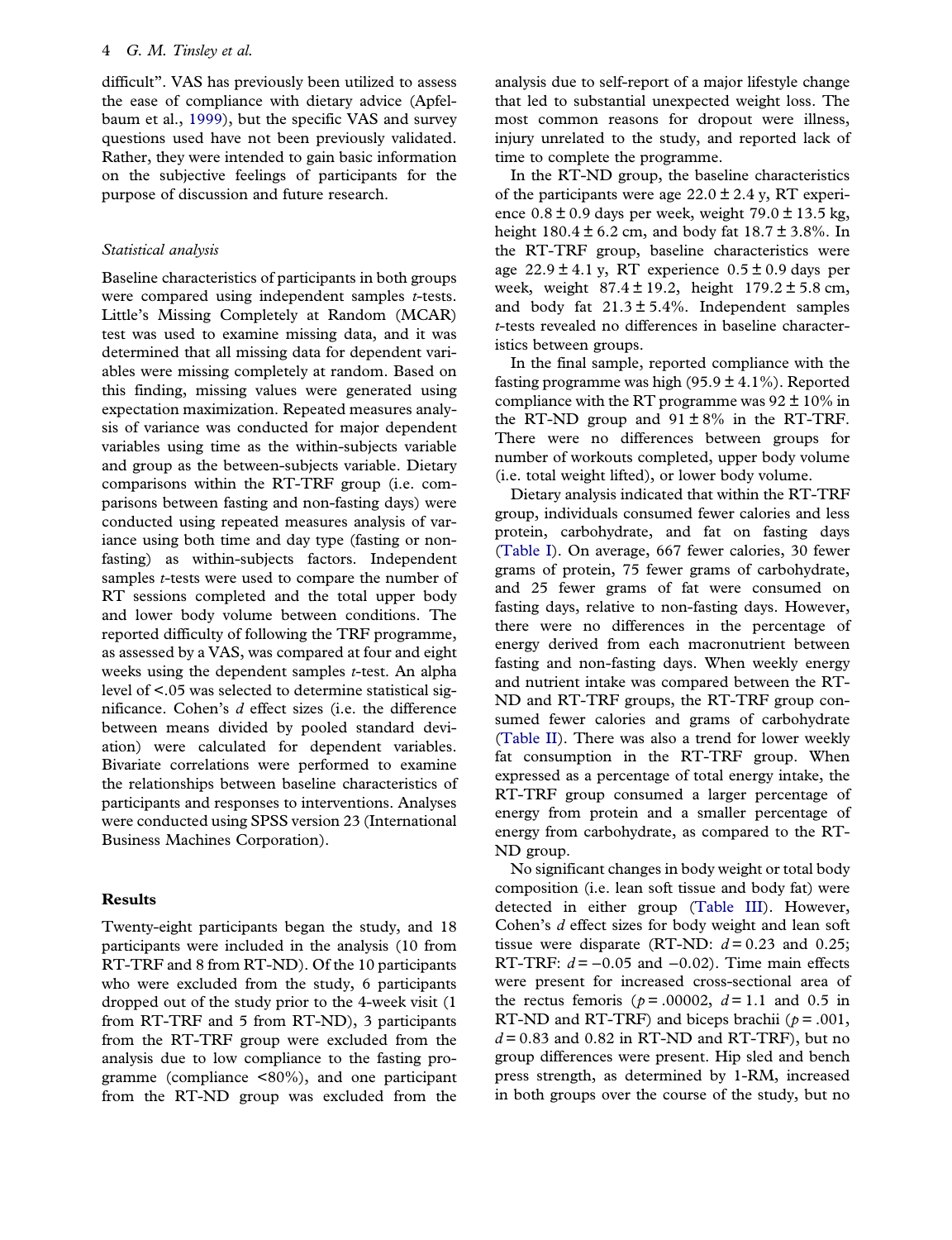<span id="page-3-0"></span>difficult". VAS has previously been utilized to assess the ease of compliance with dietary advice (Apfelbaum et al., [1999](#page-7-0)), but the specific VAS and survey questions used have not been previously validated. Rather, they were intended to gain basic information on the subjective feelings of participants for the purpose of discussion and future research.

## Statistical analysis

Baseline characteristics of participants in both groups were compared using independent samples  $t$ -tests. Little's Missing Completely at Random (MCAR) test was used to examine missing data, and it was determined that all missing data for dependent variables were missing completely at random. Based on this finding, missing values were generated using expectation maximization. Repeated measures analysis of variance was conducted for major dependent variables using time as the within-subjects variable and group as the between-subjects variable. Dietary comparisons within the RT-TRF group (i.e. comparisons between fasting and non-fasting days) were conducted using repeated measures analysis of variance using both time and day type (fasting or nonfasting) as within-subjects factors. Independent samples *t*-tests were used to compare the number of RT sessions completed and the total upper body and lower body volume between conditions. The reported difficulty of following the TRF programme, as assessed by a VAS, was compared at four and eight weeks using the dependent samples  $t$ -test. An alpha level of <.05 was selected to determine statistical significance. Cohen's d effect sizes (i.e. the difference between means divided by pooled standard deviation) were calculated for dependent variables. Bivariate correlations were performed to examine the relationships between baseline characteristics of participants and responses to interventions. Analyses were conducted using SPSS version 23 (International Business Machines Corporation).

## Results

Twenty-eight participants began the study, and 18 participants were included in the analysis (10 from RT-TRF and 8 from RT-ND). Of the 10 participants who were excluded from the study, 6 participants dropped out of the study prior to the 4-week visit (1 from RT-TRF and 5 from RT-ND), 3 participants from the RT-TRF group were excluded from the analysis due to low compliance to the fasting programme (compliance <80%), and one participant from the RT-ND group was excluded from the

analysis due to self-report of a major lifestyle change that led to substantial unexpected weight loss. The most common reasons for dropout were illness, injury unrelated to the study, and reported lack of time to complete the programme.

In the RT-ND group, the baseline characteristics of the participants were age  $22.0 \pm 2.4$  y, RT experience  $0.8 \pm 0.9$  days per week, weight  $79.0 \pm 13.5$  kg, height  $180.4 \pm 6.2$  cm, and body fat  $18.7 \pm 3.8$ %. In the RT-TRF group, baseline characteristics were age  $22.9 \pm 4.1$  y, RT experience  $0.5 \pm 0.9$  days per week, weight  $87.4 \pm 19.2$ , height  $179.2 \pm 5.8$  cm, and body fat  $21.3 \pm 5.4\%$ . Independent samples t-tests revealed no differences in baseline characteristics between groups.

In the final sample, reported compliance with the fasting programme was high (95.9  $\pm$  4.1%). Reported compliance with the RT programme was  $92 \pm 10\%$  in the RT-ND group and  $91 \pm 8\%$  in the RT-TRF. There were no differences between groups for number of workouts completed, upper body volume (i.e. total weight lifted), or lower body volume.

Dietary analysis indicated that within the RT-TRF group, individuals consumed fewer calories and less protein, carbohydrate, and fat on fasting days ([Table I](#page-4-0)). On average, 667 fewer calories, 30 fewer grams of protein, 75 fewer grams of carbohydrate, and 25 fewer grams of fat were consumed on fasting days, relative to non-fasting days. However, there were no differences in the percentage of energy derived from each macronutrient between fasting and non-fasting days. When weekly energy and nutrient intake was compared between the RT-ND and RT-TRF groups, the RT-TRF group consumed fewer calories and grams of carbohydrate ([Table II\)](#page-4-0). There was also a trend for lower weekly fat consumption in the RT-TRF group. When expressed as a percentage of total energy intake, the RT-TRF group consumed a larger percentage of energy from protein and a smaller percentage of energy from carbohydrate, as compared to the RT-ND group.

No significant changes in body weight or total body composition (i.e. lean soft tissue and body fat) were detected in either group ([Table III\)](#page-5-0). However, Cohen's d effect sizes for body weight and lean soft tissue were disparate (RT-ND:  $d = 0.23$  and 0.25; RT-TRF:  $d = -0.05$  and  $-0.02$ ). Time main effects were present for increased cross-sectional area of the rectus femoris ( $p = .00002$ ,  $d = 1.1$  and 0.5 in RT-ND and RT-TRF) and biceps brachii ( $p = .001$ ,  $d = 0.83$  and 0.82 in RT-ND and RT-TRF), but no group differences were present. Hip sled and bench press strength, as determined by 1-RM, increased in both groups over the course of the study, but no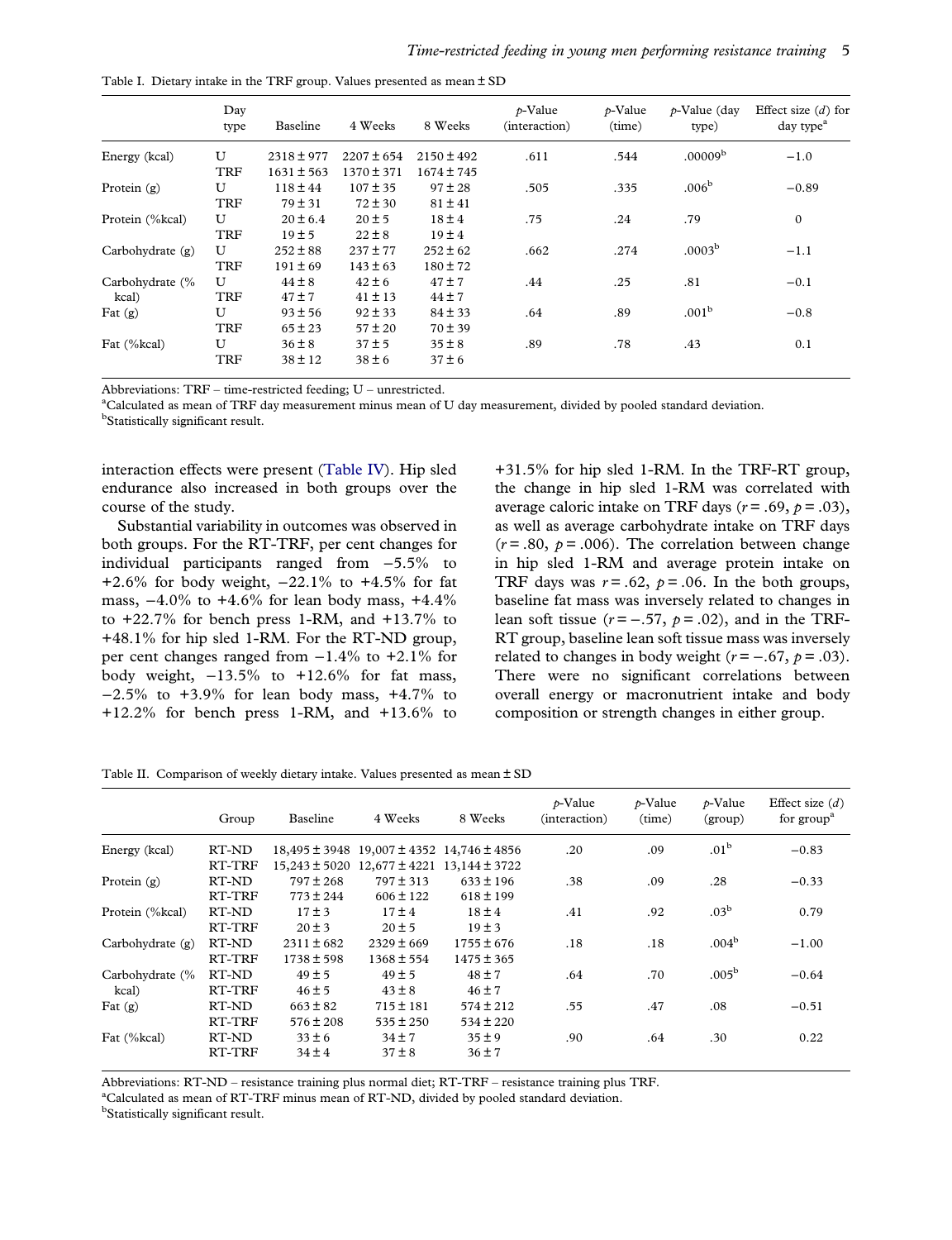<span id="page-4-0"></span>

|  |  |  |  |  |  |  | Table I. Dietary intake in the TRF group. Values presented as mean $\pm$ SD |  |  |  |
|--|--|--|--|--|--|--|-----------------------------------------------------------------------------|--|--|--|
|--|--|--|--|--|--|--|-----------------------------------------------------------------------------|--|--|--|

|                    | Day<br>type | Baseline       | 4 Weeks        | 8 Weeks        | $p$ -Value<br>(interaction) | $p$ -Value<br>(time) | $p$ -Value (day<br>type) | Effect size $(d)$ for<br>day type <sup>a</sup> |
|--------------------|-------------|----------------|----------------|----------------|-----------------------------|----------------------|--------------------------|------------------------------------------------|
| Energy (kcal)      | U           | $2318 \pm 977$ | $2207 \pm 654$ | $2150 \pm 492$ | .611                        | .544                 | .00009 <sup>b</sup>      | $-1.0$                                         |
|                    | <b>TRF</b>  | $1631 \pm 563$ | 1370 ± 371     | 1674 ± 745     |                             |                      |                          |                                                |
| Protein $(g)$      | U           | $118 \pm 44$   | $107 \pm 35$   | $97 \pm 28$    | .505                        | .335                 | .006 <sup>b</sup>        | $-0.89$                                        |
|                    | <b>TRF</b>  | $79 \pm 31$    | $72 \pm 30$    | $81 \pm 41$    |                             |                      |                          |                                                |
| Protein (%kcal)    | U           | $20 \pm 6.4$   | $20 \pm 5$     | $18 \pm 4$     | .75                         | .24                  | .79                      | $\mathbf{0}$                                   |
|                    | <b>TRF</b>  | 19±5           | $22 \pm 8$     | $19 \pm 4$     |                             |                      |                          |                                                |
| Carbohydrate $(g)$ | U           | $252 \pm 88$   | $237 \pm 77$   | $252 \pm 62$   | .662                        | .274                 | .0003 <sup>b</sup>       | $-1.1$                                         |
|                    | <b>TRF</b>  | $191 \pm 69$   | $143 \pm 63$   | $180 \pm 72$   |                             |                      |                          |                                                |
| Carbohydrate (%    | U           | $44 \pm 8$     | $42 \pm 6$     | $47 \pm 7$     | .44                         | .25                  | .81                      | $-0.1$                                         |
| kcal)              | <b>TRF</b>  | $47 \pm 7$     | $41 \pm 13$    | $44 \pm 7$     |                             |                      |                          |                                                |
| Fat $(g)$          | U           | $93 \pm 56$    | $92 \pm 33$    | $84 \pm 33$    | .64                         | .89                  | .001 <sup>b</sup>        | $-0.8$                                         |
|                    | <b>TRF</b>  | $65 \pm 23$    | $57 \pm 20$    | $70 \pm 39$    |                             |                      |                          |                                                |
| Fat (%kcal)        | U           | $36 \pm 8$     | $37 \pm 5$     | $35 \pm 8$     | .89                         | .78                  | .43                      | 0.1                                            |
|                    | <b>TRF</b>  | $38 \pm 12$    | $38 \pm 6$     | $37 \pm 6$     |                             |                      |                          |                                                |

Abbreviations:  $TRF$  – time-restricted feeding;  $U$  – unrestricted.

<sup>a</sup>Calculated as mean of TRF day measurement minus mean of U day measurement, divided by pooled standard deviation.

<sup>b</sup>Statistically significant result.

interaction effects were present [\(Table IV\)](#page-5-0). Hip sled endurance also increased in both groups over the course of the study.

Substantial variability in outcomes was observed in both groups. For the RT-TRF, per cent changes for individual participants ranged from −5.5% to +2.6% for body weight, −22.1% to +4.5% for fat mass,  $-4.0\%$  to  $+4.6\%$  for lean body mass,  $+4.4\%$ to  $+22.7\%$  for bench press 1-RM, and  $+13.7\%$  to +48.1% for hip sled 1-RM. For the RT-ND group, per cent changes ranged from  $-1.4\%$  to  $+2.1\%$  for body weight, −13.5% to +12.6% for fat mass, −2.5% to +3.9% for lean body mass, +4.7% to +12.2% for bench press 1-RM, and +13.6% to

+31.5% for hip sled 1-RM. In the TRF-RT group, the change in hip sled 1-RM was correlated with average caloric intake on TRF days  $(r = .69, p = .03)$ , as well as average carbohydrate intake on TRF days  $(r = .80, p = .006)$ . The correlation between change in hip sled 1-RM and average protein intake on TRF days was  $r = .62$ ,  $p = .06$ . In the both groups, baseline fat mass was inversely related to changes in lean soft tissue ( $r = -.57$ ,  $p = .02$ ), and in the TRF-RT group, baseline lean soft tissue mass was inversely related to changes in body weight  $(r = -.67, p = .03)$ . There were no significant correlations between overall energy or macronutrient intake and body composition or strength changes in either group.

Table II. Comparison of weekly dietary intake. Values presented as mean ± SD

|                    | Group  | <b>Baseline</b>   | 4 Weeks                                   | 8 Weeks        | $p$ -Value<br>(interaction) | $p$ -Value<br>(time) | $p$ -Value<br>(group) | Effect size $(d)$<br>for $groupa$ |
|--------------------|--------|-------------------|-------------------------------------------|----------------|-----------------------------|----------------------|-----------------------|-----------------------------------|
| Energy (kcal)      | RT-ND  |                   | 18,495 ± 3948 19,007 ± 4352 14,746 ± 4856 |                | .20                         | .09                  | .01 <sup>b</sup>      | $-0.83$                           |
|                    | RT-TRF | $15,243 \pm 5020$ | $12,677 \pm 4221$ 13,144 $\pm$ 3722       |                |                             |                      |                       |                                   |
| Protein $(g)$      | RT-ND  | $797 \pm 268$     | $797 \pm 313$                             | $633 \pm 196$  | .38                         | .09                  | .28                   | $-0.33$                           |
|                    | RT-TRF | $773 \pm 244$     | $606 \pm 122$                             | $618 \pm 199$  |                             |                      |                       |                                   |
| Protein (%kcal)    | RT-ND  | $17 \pm 3$        | $17 \pm 4$                                | $18 \pm 4$     | .41                         | .92                  | .03 <sup>b</sup>      | 0.79                              |
|                    | RT-TRF | $20 \pm 3$        | $20 \pm 5$                                | $19 \pm 3$     |                             |                      |                       |                                   |
| Carbohydrate $(g)$ | RT-ND  | $2311 \pm 682$    | $2329 \pm 669$                            | $1755 \pm 676$ | .18                         | .18                  | .004 <sup>b</sup>     | $-1.00$                           |
|                    | RT-TRF | $1738 \pm 598$    | $1368 \pm 554$                            | $1475 \pm 365$ |                             |                      |                       |                                   |
| Carbohydrate (%    | RT-ND  | $49 \pm 5$        | $49 \pm 5$                                | $48 \pm 7$     | .64                         | .70                  | $.005^{\rm b}$        | $-0.64$                           |
| kcal)              | RT-TRF | $46 \pm 5$        | $43 \pm 8$                                | $46 \pm 7$     |                             |                      |                       |                                   |
| Fat $(g)$          | RT-ND  | $663 \pm 82$      | $715 \pm 181$                             | $574 \pm 212$  | .55                         | .47                  | .08                   | $-0.51$                           |
|                    | RT-TRF | $576 \pm 208$     | $535 \pm 250$                             | $534 \pm 220$  |                             |                      |                       |                                   |
| Fat (%kcal)        | RT-ND  | $33 \pm 6$        | $34 \pm 7$                                | $35 \pm 9$     | .90                         | .64                  | .30                   | 0.22                              |
|                    | RT-TRF | $34 \pm 4$        | $37 \pm 8$                                | $36 \pm 7$     |                             |                      |                       |                                   |

Abbreviations: RT-ND – resistance training plus normal diet; RT-TRF – resistance training plus TRF.

<sup>a</sup>Calculated as mean of RT-TRF minus mean of RT-ND, divided by pooled standard deviation.

<sup>b</sup>Statistically significant result.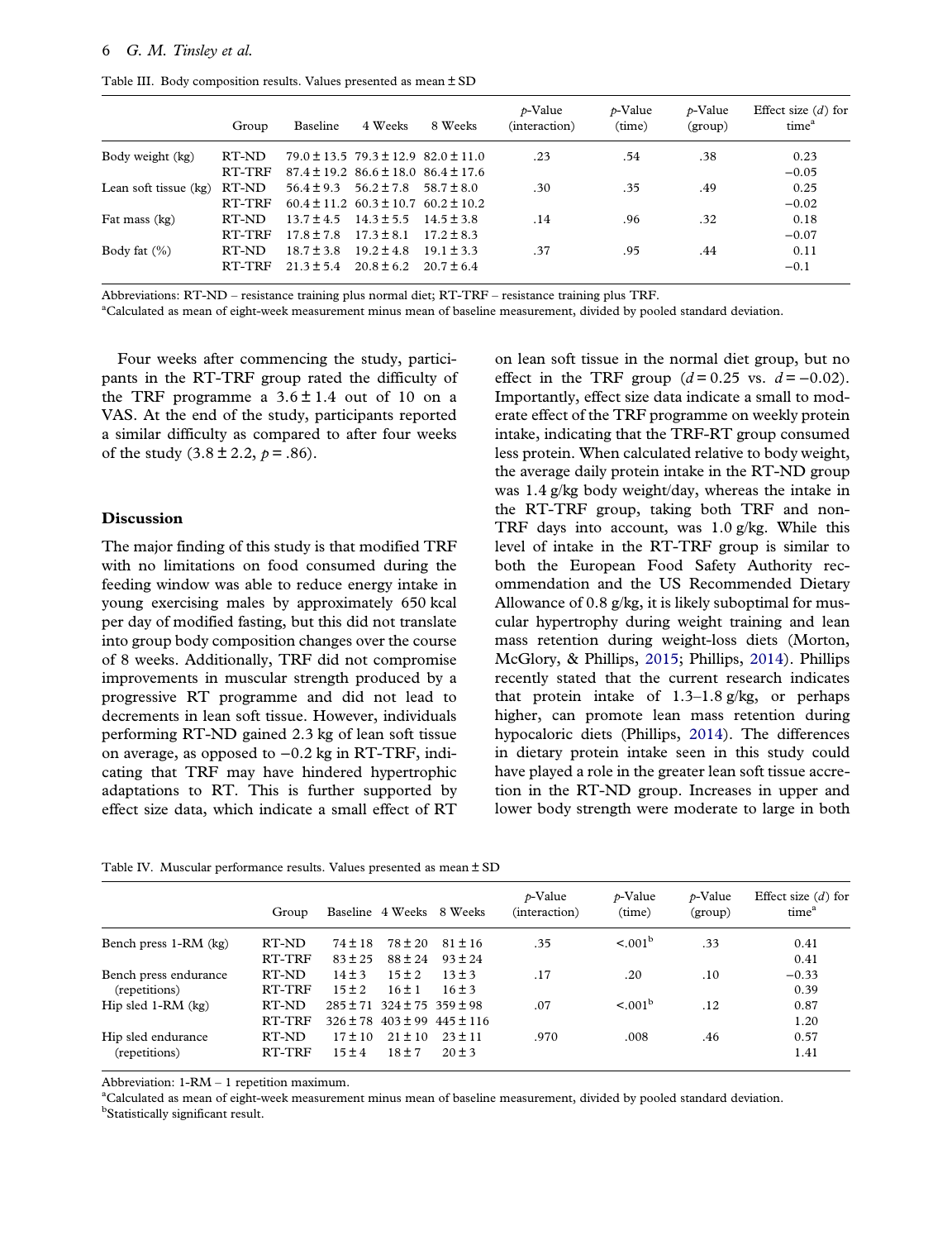<span id="page-5-0"></span>Table III. Body composition results. Values presented as mean ± SD

|                       | Group  | Baseline       | 4 Weeks                                         | 8 Weeks        | $p$ -Value<br>(interaction) | $p$ -Value<br>(time) | $p$ -Value<br>(group) | Effect size $(d)$ for<br>time <sup>a</sup> |
|-----------------------|--------|----------------|-------------------------------------------------|----------------|-----------------------------|----------------------|-----------------------|--------------------------------------------|
| Body weight (kg)      | RT-ND  |                | $79.0 \pm 13.5$ $79.3 \pm 12.9$ $82.0 \pm 11.0$ |                | .23                         | .54                  | .38                   | 0.23                                       |
|                       | RT-TRF |                | $87.4 \pm 19.2$ $86.6 \pm 18.0$ $86.4 \pm 17.6$ |                |                             |                      |                       | $-0.05$                                    |
| Lean soft tissue (kg) | RT-ND  | $56.4 \pm 9.3$ | $56.2 \pm 7.8$                                  | $58.7 \pm 8.0$ | .30                         | .35                  | .49                   | 0.25                                       |
|                       | RT-TRF |                | $60.4 \pm 11.2$ $60.3 \pm 10.7$ $60.2 \pm 10.2$ |                |                             |                      |                       | $-0.02$                                    |
| Fat mass (kg)         | RT-ND  | $13.7 + 4.5$   | $14.3 + 5.5$                                    | $14.5 + 3.8$   | .14                         | .96                  | .32                   | 0.18                                       |
|                       | RT-TRF | $17.8 + 7.8$   | $17.3 \pm 8.1$                                  | $17.2 + 8.3$   |                             |                      |                       | $-0.07$                                    |
| Body fat $(\%)$       | RT-ND  | $18.7 + 3.8$   | $19.2 \pm 4.8$                                  | $19.1 \pm 3.3$ | .37                         | .95                  | .44                   | 0.11                                       |
|                       | RT-TRF | $21.3 + 5.4$   | $20.8 \pm 6.2$                                  | $20.7 + 6.4$   |                             |                      |                       | $-0.1$                                     |

Abbreviations: RT-ND – resistance training plus normal diet; RT-TRF – resistance training plus TRF.

a Calculated as mean of eight-week measurement minus mean of baseline measurement, divided by pooled standard deviation.

Four weeks after commencing the study, participants in the RT-TRF group rated the difficulty of the TRF programme a  $3.6 \pm 1.4$  out of 10 on a VAS. At the end of the study, participants reported a similar difficulty as compared to after four weeks of the study  $(3.8 \pm 2.2, p = .86)$ .

#### Discussion

The major finding of this study is that modified TRF with no limitations on food consumed during the feeding window was able to reduce energy intake in young exercising males by approximately 650 kcal per day of modified fasting, but this did not translate into group body composition changes over the course of 8 weeks. Additionally, TRF did not compromise improvements in muscular strength produced by a progressive RT programme and did not lead to decrements in lean soft tissue. However, individuals performing RT-ND gained 2.3 kg of lean soft tissue on average, as opposed to −0.2 kg in RT-TRF, indicating that TRF may have hindered hypertrophic adaptations to RT. This is further supported by effect size data, which indicate a small effect of RT

on lean soft tissue in the normal diet group, but no effect in the TRF group  $(d=0.25 \text{ vs. } d=-0.02)$ . Importantly, effect size data indicate a small to moderate effect of the TRF programme on weekly protein intake, indicating that the TRF-RT group consumed less protein. When calculated relative to body weight, the average daily protein intake in the RT-ND group was 1.4 g/kg body weight/day, whereas the intake in the RT-TRF group, taking both TRF and non-TRF days into account, was 1.0 g/kg. While this level of intake in the RT-TRF group is similar to both the European Food Safety Authority recommendation and the US Recommended Dietary Allowance of 0.8 g/kg, it is likely suboptimal for muscular hypertrophy during weight training and lean mass retention during weight-loss diets (Morton, McGlory, & Phillips, [2015;](#page-7-0) Phillips, [2014\)](#page-7-0). Phillips recently stated that the current research indicates that protein intake of  $1.3-1.8$  g/kg, or perhaps higher, can promote lean mass retention during hypocaloric diets (Phillips, [2014\)](#page-7-0). The differences in dietary protein intake seen in this study could have played a role in the greater lean soft tissue accretion in the RT-ND group. Increases in upper and lower body strength were moderate to large in both

Table IV. Muscular performance results. Values presented as mean ± SD

|                       | Group  |             |                                        | Baseline 4 Weeks 8 Weeks        | $p$ -Value<br>(interaction) | $p$ -Value<br>(time) | $p$ -Value<br>(group) | Effect size $(d)$ for<br>time <sup>a</sup> |
|-----------------------|--------|-------------|----------------------------------------|---------------------------------|-----------------------------|----------------------|-----------------------|--------------------------------------------|
| Bench press 1-RM (kg) | RT-ND  | $74 \pm 18$ | $78 \pm 20$                            | $81 \pm 16$                     | .35                         | $< 0.01^{\rm b}$     | .33                   | 0.41                                       |
|                       | RT-TRF | $83 \pm 25$ | $88 \pm 24$                            | $93 + 24$                       |                             |                      |                       | 0.41                                       |
| Bench press endurance | RT-ND  | $14 \pm 3$  | $15 + 2$                               | $13 + 3$                        | .17                         | .20                  | .10                   | $-0.33$                                    |
| (repetitions)         | RT-TRF | $15 \pm 2$  | $16 + 1$                               | $16 \pm 3$                      |                             |                      |                       | 0.39                                       |
| Hip sled $1-RM$ (kg)  | RT-ND  |             | $285 \pm 71$ 324 $\pm$ 75 359 $\pm$ 98 |                                 | .07                         | < 0.01 <sup>b</sup>  | .12                   | 0.87                                       |
|                       | RT-TRF |             |                                        | $326 \pm 78$ 403 ± 99 445 ± 116 |                             |                      |                       | 1.20                                       |
| Hip sled endurance    | RT-ND  | $17 \pm 10$ | $21 \pm 10$                            | $23 + 11$                       | .970                        | .008                 | .46                   | 0.57                                       |
| (repetitions)         | RT-TRF | $15 \pm 4$  | $18 + 7$                               | $20 \pm 3$                      |                             |                      |                       | 1.41                                       |

Abbreviation:  $1-RM - 1$  repetition maximum.

<sup>a</sup>Calculated as mean of eight-week measurement minus mean of baseline measurement, divided by pooled standard deviation.

<sup>b</sup>Statistically significant result.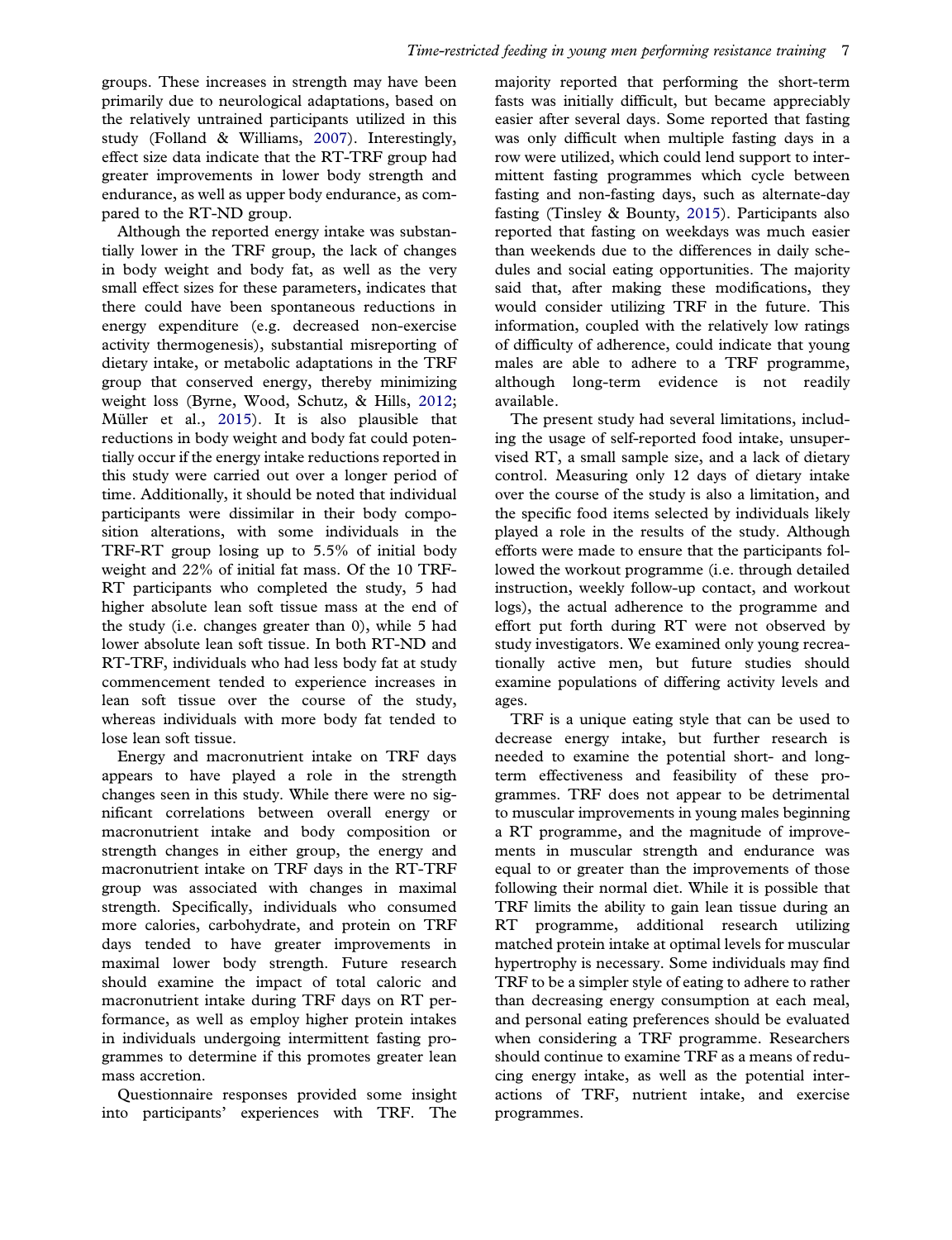<span id="page-6-0"></span>groups. These increases in strength may have been primarily due to neurological adaptations, based on the relatively untrained participants utilized in this study (Folland & Williams, [2007](#page-7-0)). Interestingly, effect size data indicate that the RT-TRF group had greater improvements in lower body strength and endurance, as well as upper body endurance, as compared to the RT-ND group.

Although the reported energy intake was substantially lower in the TRF group, the lack of changes in body weight and body fat, as well as the very small effect sizes for these parameters, indicates that there could have been spontaneous reductions in energy expenditure (e.g. decreased non-exercise activity thermogenesis), substantial misreporting of dietary intake, or metabolic adaptations in the TRF group that conserved energy, thereby minimizing weight loss (Byrne, Wood, Schutz, & Hills, [2012;](#page-7-0) Müller et al., [2015](#page-7-0)). It is also plausible that reductions in body weight and body fat could potentially occur if the energy intake reductions reported in this study were carried out over a longer period of time. Additionally, it should be noted that individual participants were dissimilar in their body composition alterations, with some individuals in the TRF-RT group losing up to 5.5% of initial body weight and 22% of initial fat mass. Of the 10 TRF-RT participants who completed the study, 5 had higher absolute lean soft tissue mass at the end of the study (i.e. changes greater than 0), while 5 had lower absolute lean soft tissue. In both RT-ND and RT-TRF, individuals who had less body fat at study commencement tended to experience increases in lean soft tissue over the course of the study, whereas individuals with more body fat tended to lose lean soft tissue.

Energy and macronutrient intake on TRF days appears to have played a role in the strength changes seen in this study. While there were no significant correlations between overall energy or macronutrient intake and body composition or strength changes in either group, the energy and macronutrient intake on TRF days in the RT-TRF group was associated with changes in maximal strength. Specifically, individuals who consumed more calories, carbohydrate, and protein on TRF days tended to have greater improvements in maximal lower body strength. Future research should examine the impact of total caloric and macronutrient intake during TRF days on RT performance, as well as employ higher protein intakes in individuals undergoing intermittent fasting programmes to determine if this promotes greater lean mass accretion.

Questionnaire responses provided some insight into participants' experiences with TRF. The

majority reported that performing the short-term fasts was initially difficult, but became appreciably easier after several days. Some reported that fasting was only difficult when multiple fasting days in a row were utilized, which could lend support to intermittent fasting programmes which cycle between fasting and non-fasting days, such as alternate-day fasting (Tinsley & Bounty, [2015](#page-7-0)). Participants also reported that fasting on weekdays was much easier than weekends due to the differences in daily schedules and social eating opportunities. The majority said that, after making these modifications, they would consider utilizing TRF in the future. This information, coupled with the relatively low ratings of difficulty of adherence, could indicate that young males are able to adhere to a TRF programme, although long-term evidence is not readily available.

The present study had several limitations, including the usage of self-reported food intake, unsupervised RT, a small sample size, and a lack of dietary control. Measuring only 12 days of dietary intake over the course of the study is also a limitation, and the specific food items selected by individuals likely played a role in the results of the study. Although efforts were made to ensure that the participants followed the workout programme (i.e. through detailed instruction, weekly follow-up contact, and workout logs), the actual adherence to the programme and effort put forth during RT were not observed by study investigators. We examined only young recreationally active men, but future studies should examine populations of differing activity levels and ages.

TRF is a unique eating style that can be used to decrease energy intake, but further research is needed to examine the potential short- and longterm effectiveness and feasibility of these programmes. TRF does not appear to be detrimental to muscular improvements in young males beginning a RT programme, and the magnitude of improvements in muscular strength and endurance was equal to or greater than the improvements of those following their normal diet. While it is possible that TRF limits the ability to gain lean tissue during an RT programme, additional research utilizing matched protein intake at optimal levels for muscular hypertrophy is necessary. Some individuals may find TRF to be a simpler style of eating to adhere to rather than decreasing energy consumption at each meal, and personal eating preferences should be evaluated when considering a TRF programme. Researchers should continue to examine TRF as a means of reducing energy intake, as well as the potential interactions of TRF, nutrient intake, and exercise programmes.